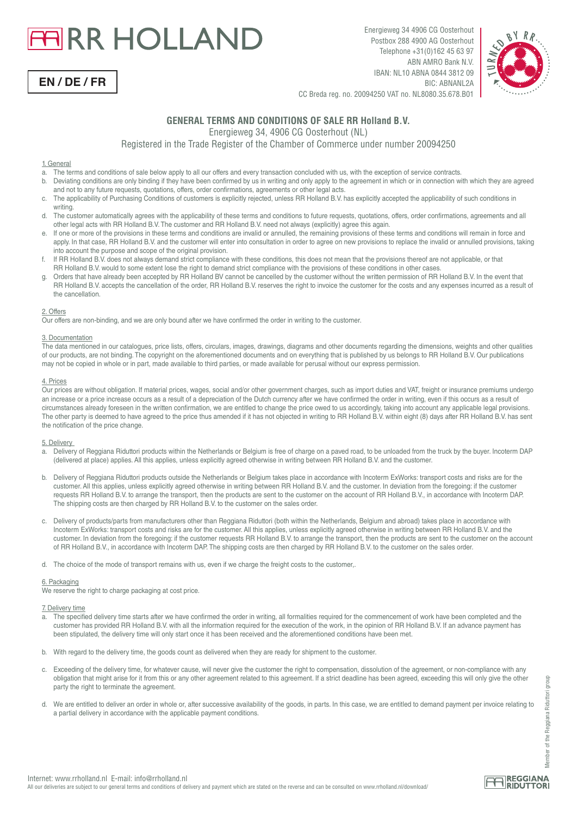# **FIRR HOLLAND**



Energieweg 34 4906 CG Oosterhout Postbox 288 4900 AG Oosterhout Telephone +31(0)162 45 63 97 ABN AMRO Bank N.V. IBAN: NL10 ABNA 0844 3812 09 BIC: ABNANL2A



CC Breda reg. no. 20094250 VAT no. NL8080.35.678.B01

# **GENERAL TERMS AND CONDITIONS OF SALE RR Holland B.V.**

Energieweg 34, 4906 CG Oosterhout (NL)

Registered in the Trade Register of the Chamber of Commerce under number 20094250

# 1. General

- a. The terms and conditions of sale below apply to all our offers and every transaction concluded with us, with the exception of service contracts.
- b. Deviating conditions are only binding if they have been confirmed by us in writing and only apply to the agreement in which or in connection with which they are agreed and not to any future requests, quotations, offers, order confirmations, agreements or other legal acts.
- c. The applicability of Purchasing Conditions of customers is explicitly rejected, unless RR Holland B.V. has explicitly accepted the applicability of such conditions in
- writing.<br>d The cus The customer automatically agrees with the applicability of these terms and conditions to future requests, quotations, offers, order confirmations, agreements and all other legal acts with RR Holland B.V. The customer and RR Holland B.V. need not always (explicitly) agree this again.
- e. If one or more of the provisions in these terms and conditions are invalid or annulled, the remaining provisions of these terms and conditions will remain in force and apply. In that case, RR Holland B.V. and the customer will enter into consultation in order to agree on new provisions to replace the invalid or annulled provisions, taking into account the purpose and scope of the original provision.<br>
If BB Holland BV does not always demand strict compliance
- f. If RR Holland B.V. does not always demand strict compliance with these conditions, this does not mean that the provisions thereof are not applicable, or that RR Holland B.V. would to some extent lose the right to demand strict compliance with the provisions of these conditions in other cases.
- g. Orders that have already been accepted by RR Holland BV cannot be cancelled by the customer without the written permission of RR Holland B.V. In the event that RR Holland B.V. accepts the cancellation of the order. RR Holland B.V. reserves the right to invoice the customer for the costs and any expenses incurred as a result of the cancellation.

# 2. Offers

Our offers are non-binding, and we are only bound after we have confirmed the order in writing to the customer.

# 3. Documentation

The data mentioned in our catalogues, price lists, offers, circulars, images, drawings, diagrams and other documents regarding the dimensions, weights and other qualities of our products, are not binding. The copyright on the aforementioned documents and on everything that is published by us belongs to RR Holland B.V. Our publications may not be copied in whole or in part, made available to third parties, or made available for perusal without our express permission.

# 4. Prices

Our prices are without obligation. If material prices, wages, social and/or other government charges, such as import duties and VAT, freight or insurance premiums undergo an increase or a price increase occurs as a result of a depreciation of the Dutch currency after we have confirmed the order in writing, even if this occurs as a result of circumstances already foreseen in the written confirmation, we are entitled to change the price owed to us accordingly, taking into account any applicable legal provisions. The other party is deemed to have agreed to the price thus amended if it has not objected in writing to RR Holland B.V. within eight (8) days after RR Holland B.V. has sent the notification of the price change.

# 5. Delivery

- a. Delivery of Reggiana Riduttori products within the Netherlands or Belgium is free of charge on a paved road, to be unloaded from the truck by the buyer. Incoterm DAP (delivered at place) applies. All this applies, unless explicitly agreed otherwise in writing between RR Holland B.V. and the customer.
- b. Delivery of Reggiana Riduttori products outside the Netherlands or Belgium takes place in accordance with Incoterm ExWorks: transport costs and risks are for the customer. All this applies, unless explicitly agreed otherwise in writing between RR Holland B.V. and the customer. In deviation from the foregoing: if the customer requests RR Holland B.V. to arrange the transport, then the products are sent to the customer on the account of RR Holland B.V., in accordance with Incoterm DAP. The shipping costs are then charged by RR Holland B.V. to the customer on the sales order.
- c. Delivery of products/parts from manufacturers other than Reggiana Riduttori (both within the Netherlands, Belgium and abroad) takes place in accordance with Incoterm ExWorks: transport costs and risks are for the customer. All this applies, unless explicitly agreed otherwise in writing between RR Holland B.V. and the customer. In deviation from the foregoing: if the customer requests RR Holland B.V. to arrange the transport, then the products are sent to the customer on the account of RR Holland B.V., in accordance with Incoterm DAP. The shipping costs are then charged by RR Holland B.V. to the customer on the sales order.

d. The choice of the mode of transport remains with us, even if we charge the freight costs to the customer,

# 6. Packaging

We reserve the right to charge packaging at cost price.

# 7. Delivery time

- a. The specified delivery time starts after we have confirmed the order in writing, all formalities required for the commencement of work have been completed and the customer has provided RR Holland B.V. with all the information required for the execution of the work, in the opinion of RR Holland B.V. If an advance payment has been stipulated, the delivery time will only start once it has been received and the aforementioned conditions have been met.
- b. With regard to the delivery time, the goods count as delivered when they are ready for shipment to the customer.
- c. Exceeding of the delivery time, for whatever cause, will never give the customer the right to compensation, dissolution of the agreement, or non-compliance with any obligation that might arise for it from this or any other agreement related to this agreement. If a strict deadline has been agreed, exceeding this will only give the other party the right to terminate the agreement.
- d. We are entitled to deliver an order in whole or, after successive availability of the goods, in parts. In this case, we are entitled to demand payment per invoice relating to a partial delivery in accordance with the applicable payment conditions.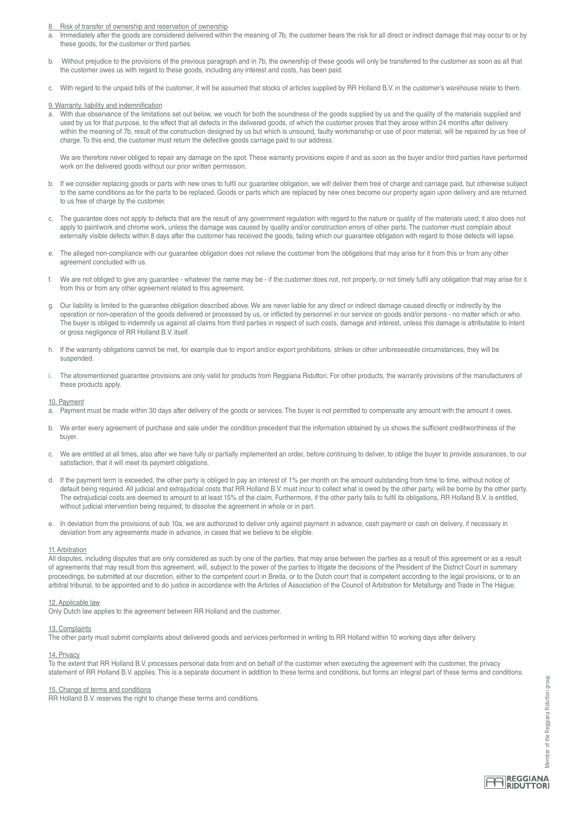Risk of transfer of ownership and reservation of ownership

- a. Immediately after the goods are considered delivered within the meaning of 7b, the customer bears the risk for all direct or indirect damage that may occur to or by these goods, for the customer or third parties.
- b. Without prejudice to the provisions of the previous paragraph and in 7b, the ownership of these goods will only be transferred to the customer as soon as all that the customer owes us with regard to these goods, including any interest and costs, has been paid.
- c. With regard to the unpaid bills of the customer, it will be assumed that stocks of articles supplied by RR Holland B.V. in the customer's warehouse relate to them.

9. Warranty, liability and indemnification

With due observance of the limitations set out below, we vouch for both the soundness of the goods supplied by us and the quality of the materials supplied and used by us for that purpose, to the effect that all defects in the delivered goods, of which the customer proves that they arose within 24 months after delivery within the meaning of 7b, result of the construction designed by us but which is unsound, faulty workmanship or use of poor material, will be repaired by us free of charge. To this end, the customer must return the defective goods carriage paid to our address.

We are therefore never obliged to repair any damage on the spot. These warranty provisions expire if and as soon as the buyer and/or third parties have performed work on the delivered goods without our prior written permission.

- b. If we consider replacing goods or parts with new ones to fulfil our guarantee obligation, we will deliver them free of charge and carriage paid, but otherwise subject to the same conditions as for the parts to be replaced. Goods or parts which are replaced by new ones become our property again upon delivery and are returned to us free of charge by the customer.
- c. The guarantee does not apply to defects that are the result of any government regulation with regard to the nature or quality of the materials used; it also does not apply to paintwork and chrome work, unless the damage was caused by quality and/or construction errors of other parts. The customer must complain about externally visible defects within 8 days after the customer has received the goods, failing which our guarantee obligation with regard to those defects will lapse.
- e. The alleged non-compliance with our guarantee obligation does not relieve the customer from the obligations that may arise for it from this or from any other agreement concluded with us.
- f. We are not obliged to give any guarantee whatever the name may be if the customer does not, not properly, or not timely fulfil any obligation that may arise for it from this or from any other agreement related to this agreement.
- g. Our liability is limited to the guarantee obligation described above. We are never liable for any direct or indirect damage caused directly or indirectly by the operation or non-operation of the goods delivered or processed by us, or inflicted by personnel in our service on goods and/or persons - no matter which or who. The buyer is obliged to indemnify us against all claims from third parties in respect of such costs, damage and interest, unless this damage is attributable to intent or gross negligence of RR Holland B.V. itself.
- h. If the warranty obligations cannot be met, for example due to import and/or export prohibitions, strikes or other unforeseeable circumstances, they will be suspended.
- The aforementioned guarantee provisions are only valid for products from Reggiana Riduttori. For other products, the warranty provisions of the manufacturers of these products apply.

# 10. Payment

- a. Payment must be made within 30 days after delivery of the goods or services. The buyer is not permitted to compensate any amount with the amount it owes.
- b. We enter every agreement of purchase and sale under the condition precedent that the information obtained by us shows the sufficient creditworthiness of the buyer.
- c. We are entitled at all times, also after we have fully or partially implemented an order, before continuing to deliver, to oblige the buyer to provide assurances, to our satisfaction, that it will meet its payment obligations.
- d. If the payment term is exceeded, the other party is obliged to pay an interest of 1% per month on the amount outstanding from time to time, without notice of default being required. All judicial and extrajudicial costs that RR Holland B.V. must incur to collect what is owed by the other party, will be borne by the other party. The extrajudicial costs are deemed to amount to at least 15% of the claim. Furthermore, if the other party fails to fulfil its obligations, RR Holland B.V. is entitled, without judicial intervention being required, to dissolve the agreement in whole or in part.
- e. In deviation from the provisions of sub 10a, we are authorized to deliver only against payment in advance, cash payment or cash on delivery, if necessary in deviation from any agreements made in advance, in cases that we believe to be eligible.

# 11. Arbitration

All disputes, including disputes that are only considered as such by one of the parties, that may arise between the parties as a result of this agreement or as a result of agreements that may result from this agreement, will, subject to the power of the parties to litigate the decisions of the President of the District Court in summary proceedings, be submitted at our discretion, either to the competent court in Breda, or to the Dutch court that is competent according to the legal provisions, or to an arbitral tribunal, to be appointed and to do justice in accordance with the Articles of Association of the Council of Arbitration for Metallurgy and Trade in The Hague.

# 12. Applicable law

Only Dutch law applies to the agreement between RR Holland and the customer.

#### 13. Complaints

The other party must submit complaints about delivered goods and services performed in writing to RR Holland within 10 working days after delivery.

# 14. Privacy

To the extent that RR Holland B.V. processes personal data from and on behalf of the customer when executing the agreement with the customer, the privacy statement of RR Holland B.V. applies. This is a separate document in addition to these terms and conditions, but forms an integral part of these terms and conditions.

#### 15. Change of terms and conditions

RR Holland B.V. reserves the right to change these terms and conditions.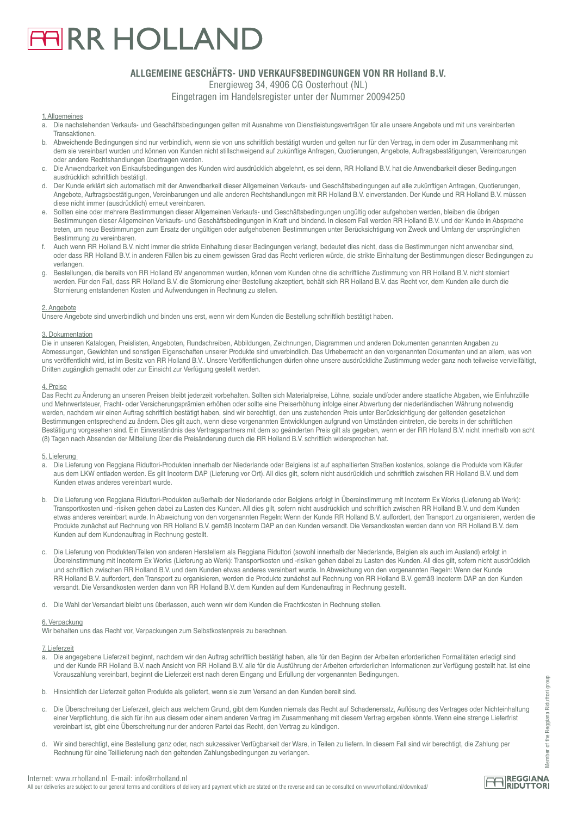# **ARR HOLLAND**

# **ALLGEMEINE GESCHÄFTS- UND VERKAUFSBEDINGUNGEN VON RR Holland B.V.**

Energieweg 34, 4906 CG Oosterhout (NL)

Eingetragen im Handelsregister unter der Nummer 20094250

# 1. Allgemeines

- a. Die nachstehenden Verkaufs- und Geschäftsbedingungen gelten mit Ausnahme von Dienstleistungsverträgen für alle unsere Angebote und mit uns vereinbarten Transaktionen.<br>b Abweichende
- b. Abweichende Bedingungen sind nur verbindlich, wenn sie von uns schriftlich bestätigt wurden und gelten nur für den Vertrag, in dem oder im Zusammenhang mit dem sie vereinbart wurden und können von Kunden nicht stillschweigend auf zukünftige Anfragen, Quotierungen, Angebote, Auftragsbestätigungen, Vereinbarungen oder andere Rechtshandlungen übertragen werden.
- Die Anwendbarkeit von Einkaufsbedingungen des Kunden wird ausdrücklich abgelehnt, es sei denn, RR Holland B.V. hat die Anwendbarkeit dieser Bedingungen ausdrücklich schriftlich bestätigt.<br>In Der Kunde erklärt sich automatis
- d. Der Kunde erklärt sich automatisch mit der Anwendbarkeit dieser Allgemeinen Verkaufs- und Geschäftsbedingungen auf alle zukünftigen Anfragen, Quotierungen, Angebote, Auftragsbestätigungen, Vereinbarungen und alle anderen Rechtshandlungen mit RR Holland B.V. einverstanden. Der Kunde und RR Holland B.V. müssen diese nicht immer (ausdrücklich) erneut vereinbaren.
- Sollten eine oder mehrere Bestimmungen dieser Allgemeinen Verkaufs- und Geschäftsbedingungen ungültig oder aufgehoben werden, bleiben die übrigen Bestimmungen dieser Allgemeinen Verkaufs- und Geschäftsbedingungen in Kraft und bindend. In diesem Fall werden RR Holland B.V. und der Kunde in Absprache treten, um neue Bestimmungen zum Ersatz der ungültigen oder aufgehobenen Bestimmungen unter Berücksichtigung von Zweck und Umfang der ursprünglichen Bestimmung zu vereinbaren.
- f. Auch wenn RR Holland B.V. nicht immer die strikte Einhaltung dieser Bedingungen verlangt, bedeutet dies nicht, dass die Bestimmungen nicht anwendbar sind, oder dass RR Holland B.V. in anderen Fällen bis zu einem gewissen Grad das Recht verlieren würde, die strikte Einhaltung der Bestimmungen dieser Bedingungen zu verlangen.
- g. Bestellungen, die bereits von RR Holland BV angenommen wurden, können vom Kunden ohne die schriftliche Zustimmung von RR Holland B.V. nicht storniert werden. Für den Fall, dass RR Holland B.V. die Stornierung einer Bestellung akzeptiert, behält sich RR Holland B.V. das Recht vor, dem Kunden alle durch die Stornierung entstandenen Kosten und Aufwendungen in Rechnung zu stellen.

# 2. Angebote

Unsere Angebote sind unverbindlich und binden uns erst, wenn wir dem Kunden die Bestellung schriftlich bestätigt haben.

# 3. Dokumentation

Die in unseren Katalogen, Preislisten, Angeboten, Rundschreiben, Abbildungen, Zeichnungen, Diagrammen und anderen Dokumenten genannten Angaben zu Abmessungen, Gewichten und sonstigen Eigenschaften unserer Produkte sind unverbindlich. Das Urheberrecht an den vorgenannten Dokumenten und an allem, was von uns veröffentlicht wird, ist im Besitz von RR Holland B.V.. Unsere Veröffentlichungen dürfen ohne unsere ausdrückliche Zustimmung weder ganz noch teilweise vervielfältigt, Dritten zugänglich gemacht oder zur Einsicht zur Verfügung gestellt werden.

# 4. Preise

Das Recht zu Änderung an unseren Preisen bleibt jederzeit vorbehalten. Sollten sich Materialpreise, Löhne, soziale und/oder andere staatliche Abgaben, wie Einfuhrzölle und Mehrwertsteuer, Fracht- oder Versicherungsprämien erhöhen oder sollte eine Preiserhöhung infolge einer Abwertung der niederländischen Währung notwendig werden, nachdem wir einen Auftrag schriftlich bestätigt haben, sind wir berechtigt, den uns zustehenden Preis unter Berücksichtigung der geltenden gesetzlichen Bestimmungen entsprechend zu ändern. Dies gilt auch, wenn diese vorgenannten Entwicklungen aufgrund von Umständen eintreten, die bereits in der schriftlichen Bestätigung vorgesehen sind. Ein Einverständnis des Vertragspartners mit dem so geänderten Preis gilt als gegeben, wenn er der RR Holland B.V. nicht innerhalb von acht (8) Tagen nach Absenden der Mitteilung über die Preisänderung durch die RR Holland B.V. schriftlich widersprochen hat.

# 5. Lieferung

- a. Die Lieferung von Reggiana Riduttori-Produkten innerhalb der Niederlande oder Belgiens ist auf asphaltierten Straßen kostenlos, solange die Produkte vom Käufer aus dem LKW entladen werden. Es gilt Incoterm DAP (Lieferung vor Ort). All dies gilt, sofern nicht ausdrücklich und schriftlich zwischen RR Holland B.V. und dem Kunden etwas anderes vereinbart wurde.
- b. Die Lieferung von Reggiana Riduttori-Produkten außerhalb der Niederlande oder Belgiens erfolgt in Übereinstimmung mit Incoterm Ex Works (Lieferung ab Werk): Transportkosten und -risiken gehen dabei zu Lasten des Kunden. All dies gilt, sofern nicht ausdrücklich und schriftlich zwischen RR Holland B.V. und dem Kunden etwas anderes vereinbart wurde. In Abweichung von den vorgenannten Regeln: Wenn der Kunde RR Holland B.V. auffordert, den Transport zu organisieren, werden die Produkte zunächst auf Rechnung von RR Holland B.V. gemäß Incoterm DAP an den Kunden versandt. Die Versandkosten werden dann von RR Holland B.V. dem Kunden auf dem Kundenauftrag in Rechnung gestellt.
- Die Lieferung von Produkten/Teilen von anderen Herstellern als Reggiana Riduttori (sowohl innerhalb der Niederlande, Belgien als auch im Ausland) erfolgt in Übereinstimmung mit Incoterm Ex Works (Lieferung ab Werk): Transportkosten und -risiken gehen dabei zu Lasten des Kunden. All dies gilt, sofern nicht ausdrücklich und schriftlich zwischen RR Holland B.V. und dem Kunden etwas anderes vereinbart wurde. In Abweichung von den vorgenannten Regeln: Wenn der Kunde RR Holland B.V. auffordert, den Transport zu organisieren, werden die Produkte zunächst auf Rechnung von RR Holland B.V. gemäß Incoterm DAP an den Kunden versandt. Die Versandkosten werden dann von RR Holland B.V. dem Kunden auf dem Kundenauftrag in Rechnung gestellt.
- d. Die Wahl der Versandart bleibt uns überlassen, auch wenn wir dem Kunden die Frachtkosten in Rechnung stellen.

# 6. Verpackung

Wir behalten uns das Recht vor, Verpackungen zum Selbstkostenpreis zu berechnen.

# 7. Lieferzeit

- a. Die angegebene Lieferzeit beginnt, nachdem wir den Auftrag schriftlich bestätigt haben, alle für den Beginn der Arbeiten erforderlichen Formalitäten erledigt sind und der Kunde RR Holland B.V. nach Ansicht von RR Holland B.V. alle für die Ausführung der Arbeiten erforderlichen Informationen zur Verfügung gestellt hat. Ist eine Vorauszahlung vereinbart, beginnt die Lieferzeit erst nach deren Eingang und Erfüllung der vorgenannten Bedingungen.
- b. Hinsichtlich der Lieferzeit gelten Produkte als geliefert, wenn sie zum Versand an den Kunden bereit sind.
- c. Die Überschreitung der Lieferzeit, gleich aus welchem Grund, gibt dem Kunden niemals das Recht auf Schadenersatz, Auflösung des Vertrages oder Nichteinhaltung einer Verpflichtung, die sich für ihn aus diesem oder einem anderen Vertrag im Zusammenhang mit diesem Vertrag ergeben könnte. Wenn eine strenge Lieferfrist vereinbart ist, gibt eine Überschreitung nur der anderen Partei das Recht, den Vertrag zu kündigen.
- d. Wir sind berechtigt, eine Bestellung ganz oder, nach sukzessiver Verfügbarkeit der Ware, in Teilen zu liefern. In diesem Fall sind wir berechtigt, die Zahlung per Rechnung für eine Teillieferung nach den geltenden Zahlungsbedingungen zu verlangen.

All our deliveries are subject to our general terms and conditions of delivery and payment which are stated on the reverse and can be consulted on www.rrholland.nl/download/

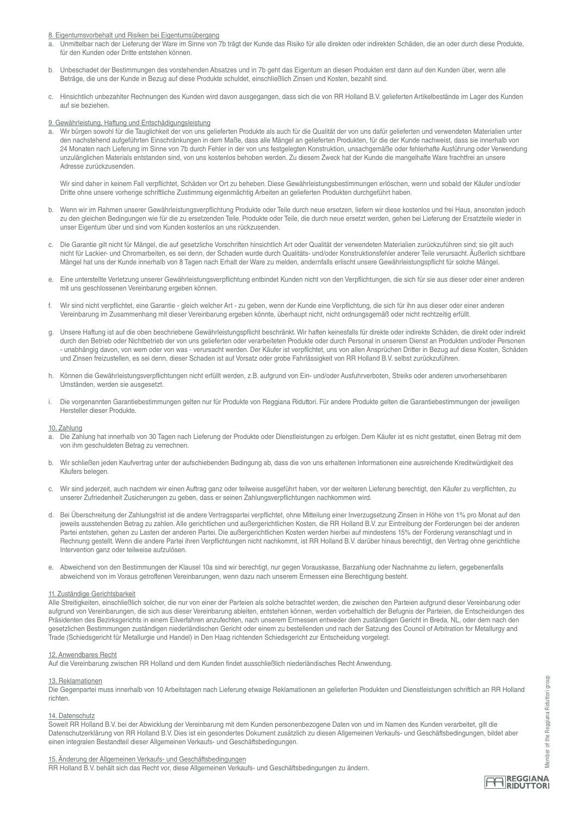# 8. Eigentumsvorbehalt und Risiken bei Eigentumsübergang

- a. Unmittelbar nach der Lieferung der Ware im Sinne von 7b trägt der Kunde das Risiko für alle direkten oder indirekten Schäden, die an oder durch diese Produkte, für den Kunden oder Dritte entstehen können.
- b. Unbeschadet der Bestimmungen des vorstehenden Absatzes und in 7b geht das Eigentum an diesen Produkten erst dann auf den Kunden über, wenn alle Beträge, die uns der Kunde in Bezug auf diese Produkte schuldet, einschließlich Zinsen und Kosten, bezahlt sind.
- c. Hinsichtlich unbezahlter Rechnungen des Kunden wird davon ausgegangen, dass sich die von RR Holland B.V. gelieferten Artikelbestände im Lager des Kunden auf sie beziehen.

# 9. Gewährleistung, Haftung und Entschädigungsleistung

a. Wir bürgen sowohl für die Tauglichkeit der von uns gelieferten Produkte als auch für die Qualität der von uns dafür gelieferten und verwendeten Materialien unter den nachstehend aufgeführten Einschränkungen in dem Maße, dass alle Mängel an gelieferten Produkten, für die der Kunde nachweist, dass sie innerhalb von 24 Monaten nach Lieferung im Sinne von 7b durch Fehler in der von uns festgelegten Konstruktion, unsachgemäße oder fehlerhafte Ausführung oder Verwendung unzulänglichen Materials entstanden sind, von uns kostenlos behoben werden. Zu diesem Zweck hat der Kunde die mangelhafte Ware frachtfrei an unsere Adresse zurückzusenden.

 Wir sind daher in keinem Fall verpflichtet, Schäden vor Ort zu beheben. Diese Gewährleistungsbestimmungen erlöschen, wenn und sobald der Käufer und/oder Dritte ohne unsere vorherige schriftliche Zustimmung eigenmächtig Arbeiten an gelieferten Produkten durchgeführt haben.

- b. Wenn wir im Rahmen unserer Gewährleistungsverpflichtung Produkte oder Teile durch neue ersetzen, liefern wir diese kostenlos und frei Haus, ansonsten jedoch zu den gleichen Bedingungen wie für die zu ersetzenden Teile. Produkte oder Teile, die durch neue ersetzt werden, gehen bei Lieferung der Ersatzteile wieder in unser Eigentum über und sind vom Kunden kostenlos an uns rückzusenden.
- c. Die Garantie gilt nicht für Mängel, die auf gesetzliche Vorschriften hinsichtlich Art oder Qualität der verwendeten Materialien zurückzuführen sind; sie gilt auch nicht für Lackier- und Chromarbeiten, es sei denn, der Schaden wurde durch Qualitäts- und/oder Konstruktionsfehler anderer Teile verursacht. Äußerlich sichtbare Mängel hat uns der Kunde innerhalb von 8 Tagen nach Erhalt der Ware zu melden, andernfalls erlischt unsere Gewährleistungspflicht für solche Mängel.
- e. Eine unterstellte Verletzung unserer Gewährleistungsverpflichtung entbindet Kunden nicht von den Verpflichtungen, die sich für sie aus dieser oder einer anderen mit uns geschlossenen Vereinbarung ergeben können.
- f. Wir sind nicht verpflichtet, eine Garantie gleich welcher Art zu geben, wenn der Kunde eine Verpflichtung, die sich für ihn aus dieser oder einer anderen Vereinbarung im Zusammenhang mit dieser Vereinbarung ergeben könnte, überhaupt nicht, nicht ordnungsgemäß oder nicht rechtzeitig erfüllt.
- g. Unsere Haftung ist auf die oben beschriebene Gewährleistungspflicht beschränkt. Wir haften keinesfalls für direkte oder indirekte Schäden, die direkt oder indirekt durch den Betrieb oder Nichtbetrieb der von uns gelieferten oder verarbeiteten Produkte oder durch Personal in unserem Dienst an Produkten und/oder Personen - unabhängig davon, von wem oder von was - verursacht werden. Der Käufer ist verpflichtet, uns von allen Ansprüchen Dritter in Bezug auf diese Kosten, Schäden und Zinsen freizustellen, es sei denn, dieser Schaden ist auf Vorsatz oder grobe Fahrlässigkeit von RR Holland B.V. selbst zurückzuführen.
- h. Können die Gewährleistungsverpflichtungen nicht erfüllt werden, z.B. aufgrund von Ein- und/oder Ausfuhrverboten, Streiks oder anderen unvorhersehbaren Umständen, werden sie ausgesetzt.
- i. Die vorgenannten Garantiebestimmungen gelten nur für Produkte von Reggiana Riduttori. Für andere Produkte gelten die Garantiebestimmungen der jeweiligen Hersteller dieser Produkte.

#### 10. Zahlung

- a. Die Zahlung hat innerhalb von 30 Tagen nach Lieferung der Produkte oder Dienstleistungen zu erfolgen. Dem Käufer ist es nicht gestattet, einen Betrag mit dem von ihm geschuldeten Betrag zu verrechnen.
- b. Wir schließen jeden Kaufvertrag unter der aufschiebenden Bedingung ab, dass die von uns erhaltenen Informationen eine ausreichende Kreditwürdigkeit des Käufers belegen.
- c. Wir sind jederzeit, auch nachdem wir einen Auftrag ganz oder teilweise ausgeführt haben, vor der weiteren Lieferung berechtigt, den Käufer zu verpflichten, zu unserer Zufriedenheit Zusicherungen zu geben, dass er seinen Zahlungsverpflichtungen nachkommen wird.
- d. Bei Überschreitung der Zahlungsfrist ist die andere Vertragspartei verpflichtet, ohne Mitteilung einer Inverzugsetzung Zinsen in Höhe von 1% pro Monat auf den jeweils ausstehenden Betrag zu zahlen. Alle gerichtlichen und außergerichtlichen Kosten, die RR Holland B.V. zur Eintreibung der Forderungen bei der anderen Partei entstehen, gehen zu Lasten der anderen Partei. Die außergerichtlichen Kosten werden hierbei auf mindestens 15% der Forderung veranschlagt und in Rechnung gestellt. Wenn die andere Partei ihren Verpflichtungen nicht nachkommt, ist RR Holland B.V. darüber hinaus berechtigt, den Vertrag ohne gerichtliche Intervention ganz oder teilweise aufzulösen.
- e. Abweichend von den Bestimmungen der Klausel 10a sind wir berechtigt, nur gegen Vorauskasse, Barzahlung oder Nachnahme zu liefern, gegebenenfalls abweichend von im Voraus getroffenen Vereinbarungen, wenn dazu nach unserem Ermessen eine Berechtigung besteht.

#### 11. Zuständige Gerichtsbarkeit

Alle Streitigkeiten, einschließlich solcher, die nur von einer der Parteien als solche betrachtet werden, die zwischen den Parteien aufgrund dieser Vereinbarung oder aufgrund von Vereinbarungen, die sich aus dieser Vereinbarung ableiten, entstehen können, werden vorbehaltlich der Befugnis der Parteien, die Entscheidungen des Präsidenten des Bezirksgerichts in einem Eilverfahren anzufechten, nach unserem Ermessen entweder dem zuständigen Gericht in Breda, NL, oder dem nach den gesetzlichen Bestimmungen zuständigen niederländischen Gericht oder einem zu bestellenden und nach der Satzung des Council of Arbitration for Metallurgy and Trade (Schiedsgericht für Metallurgie und Handel) in Den Haag richtenden Schiedsgericht zur Entscheidung vorgelegt.

# 12. Anwendbares Recht

Auf die Vereinbarung zwischen RR Holland und dem Kunden findet ausschließlich niederländisches Recht Anwendung.

#### 13. Reklamationen

Die Gegenpartei muss innerhalb von 10 Arbeitstagen nach Lieferung etwaige Reklamationen an gelieferten Produkten und Dienstleistungen schriftlich an RR Holland richten.

#### 14. Datenschutz

Soweit RR Holland B.V. bei der Abwicklung der Vereinbarung mit dem Kunden personenbezogene Daten von und im Namen des Kunden verarbeitet, gilt die Datenschutzerklärung von RR Holland B.V. Dies ist ein gesondertes Dokument zusätzlich zu diesen Allgemeinen Verkaufs- und Geschäftsbedingungen, bildet aber einen integralen Bestandteil dieser Allgemeinen Verkaufs- und Geschäftsbedingungen.

#### 15. Änderung der Allgemeinen Verkaufs- und Geschäftsbedingungen

RR Holland B.V. behält sich das Recht vor, diese Allgemeinen Verkaufs- und Geschäftsbedingungen zu ändern.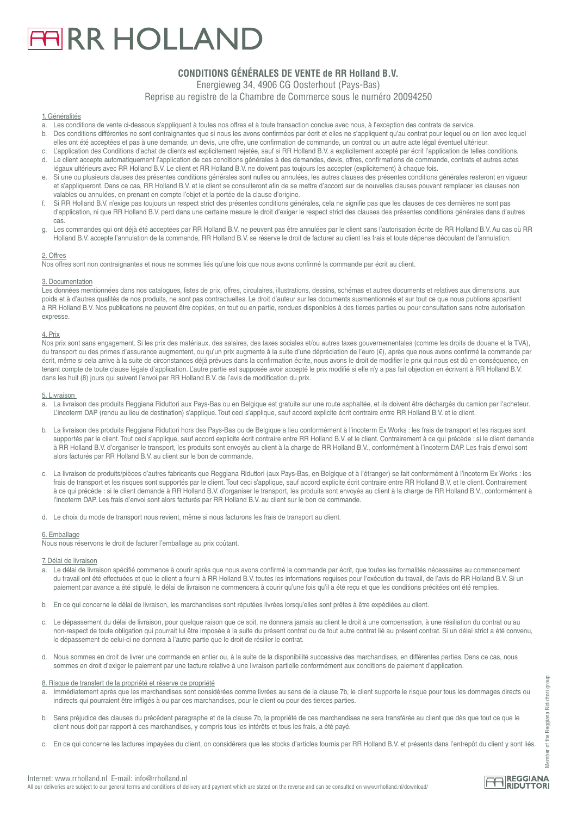# **FIRR HOLLAND**

# **CONDITIONS GÉNÉRALES DE VENTE de RR Holland B.V.**

Energieweg 34, 4906 CG Oosterhout (Pays-Bas)

Reprise au registre de la Chambre de Commerce sous le numéro 20094250

# 1. Généralités

- a. Les conditions de vente ci-dessous s'appliquent à toutes nos offres et à toute transaction conclue avec nous, à l'exception des contrats de service.
- Des conditions différentes ne sont contraignantes que si nous les avons confirmées par écrit et elles ne s'appliquent qu'au contrat pour lequel ou en lien avec lequel elles ont été acceptées et pas à une demande, un devis, une offre, une confirmation de commande, un contrat ou un autre acte légal éventuel ultérieur.
- L'application des Conditions d'achat de clients est explicitement rejetée, sauf si RR Holland B.V. a explicitement accepté par écrit l'application de telles conditions. d. Le client accepte automatiquement l'application de ces conditions générales à des demandes, devis, offres, confirmations de commande, contrats et autres actes légaux ultérieurs avec RR Holland B.V. Le client et RR Holland B.V. ne doivent pas toujours les accepter (explicitement) à chaque fois.
- e. Si une ou plusieurs clauses des présentes conditions générales sont nulles ou annulées, les autres clauses des présentes conditions générales resteront en vigueur et s'appliqueront. Dans ce cas, RR Holland B.V. et le client se consulteront afin de se mettre d'accord sur de nouvelles clauses pouvant remplacer les clauses non valables ou annulées, en prenant en compte l'objet et la portée de la clause d'origine.
- f. Si RR Holland B.V. n'exige pas toujours un respect strict des présentes conditions générales, cela ne signifie pas que les clauses de ces dernières ne sont pas d'application, ni que RR Holland B.V. perd dans une certaine mesure le droit d'exiger le respect strict des clauses des présentes conditions générales dans d'autres cas.
- g. Les commandes qui ont déjà été acceptées par RR Holland B.V. ne peuvent pas être annulées par le client sans l'autorisation écrite de RR Holland B.V. Au cas où RR Holland B.V. accepte l'annulation de la commande, RR Holland B.V. se réserve le droit de facturer au client les frais et toute dépense découlant de l'annulation.

# 2. Offres

Nos offres sont non contraignantes et nous ne sommes liés qu'une fois que nous avons confirmé la commande par écrit au client.

# 3. Documentation

Les données mentionnées dans nos catalogues, listes de prix, offres, circulaires, illustrations, dessins, schémas et autres documents et relatives aux dimensions, aux poids et à d'autres qualités de nos produits, ne sont pas contractuelles. Le droit d'auteur sur les documents susmentionnés et sur tout ce que nous publions appartient à RR Holland B.V. Nos publications ne peuvent être copiées, en tout ou en partie, rendues disponibles à des tierces parties ou pour consultation sans notre autorisation expresse.

# 4. Prix

Nos prix sont sans engagement. Si les prix des matériaux, des salaires, des taxes sociales et/ou autres taxes gouvernementales (comme les droits de douane et la TVA), du transport ou des primes d'assurance augmentent, ou qu'un prix augmente à la suite d'une dépréciation de l'euro (€), après que nous avons confirmé la commande par écrit, même si cela arrive à la suite de circonstances déjà prévues dans la confirmation écrite, nous avons le droit de modifier le prix qui nous est dû en conséquence, en tenant compte de toute clause légale d'application. L'autre partie est supposée avoir accepté le prix modifié si elle n'y a pas fait objection en écrivant à RR Holland B.V. dans les huit (8) jours qui suivent l'envoi par RR Holland B.V. de l'avis de modification du prix.

#### 5. Livraison

- a. La livraison des produits Reggiana Riduttori aux Pays-Bas ou en Belgique est gratuite sur une route asphaltée, et ils doivent être déchargés du camion par l'acheteur. L'incoterm DAP (rendu au lieu de destination) s'applique. Tout ceci s'applique, sauf accord explicite écrit contraire entre RR Holland B.V. et le client.
- b. La livraison des produits Reggiana Riduttori hors des Pays-Bas ou de Belgique a lieu conformément à l'incoterm Ex Works : les frais de transport et les risques sont supportés par le client. Tout ceci s'applique, sauf accord explicite écrit contraire entre RR Holland B.V. et le client. Contrairement à ce qui précède : si le client demande à RR Holland B.V. d'organiser le transport, les produits sont envoyés au client à la charge de RR Holland B.V., conformément à l'incoterm DAP. Les frais d'envoi sont alors facturés par RR Holland B.V. au client sur le bon de commande.
- c. La livraison de produits/pièces d'autres fabricants que Reggiana Riduttori (aux Pays-Bas, en Belgique et à l'étranger) se fait conformément à l'incoterm Ex Works : les frais de transport et les risques sont supportés par le client. Tout ceci s'applique, sauf accord explicite écrit contraire entre RR Holland B.V. et le client. Contrairement à ce qui précède : si le client demande à RR Holland B.V. d'organiser le transport, les produits sont envoyés au client à la charge de RR Holland B.V., conformément à l'incoterm DAP. Les frais d'envoi sont alors facturés par RR Holland B.V. au client sur le bon de commande.
- d. Le choix du mode de transport nous revient, même si nous facturons les frais de transport au client.

# 6. Emballage

Nous nous réservons le droit de facturer l'emballage au prix coûtant.

#### 7. Délai de livraison

- a. Le délai de livraison spécifié commence à courir après que nous avons confirmé la commande par écrit, que toutes les formalités nécessaires au commencement du travail ont été effectuées et que le client a fourni à RR Holland B.V. toutes les informations requises pour l'exécution du travail, de l'avis de RR Holland B.V. Si un paiement par avance a été stipulé, le délai de livraison ne commencera à courir qu'une fois qu'il a été reçu et que les conditions précitées ont été remplies.
- b. En ce qui concerne le délai de livraison, les marchandises sont réputées livrées lorsqu'elles sont prêtes à être expédiées au client.
- c. Le dépassement du délai de livraison, pour quelque raison que ce soit, ne donnera jamais au client le droit à une compensation, à une résiliation du contrat ou au non-respect de toute obligation qui pourrait lui être imposée à la suite du présent contrat ou de tout autre contrat lié au présent contrat. Si un délai strict a été convenu, le dépassement de celui-ci ne donnera à l'autre partie que le droit de résilier le contrat.
- d. Nous sommes en droit de livrer une commande en entier ou, à la suite de la disponibilité successive des marchandises, en différentes parties. Dans ce cas, nous sommes en droit d'exiger le paiement par une facture relative à une livraison partielle conformément aux conditions de paiement d'application.

## 8. Risque de transfert de la propriété et réserve de propriété

- a. Immédiatement après que les marchandises sont considérées comme livrées au sens de la clause 7b, le client supporte le risque pour tous les dommages directs ou indirects qui pourraient être infligés à ou par ces marchandises, pour le client ou pour des tierces parties.
- b. Sans préjudice des clauses du précédent paragraphe et de la clause 7b, la propriété de ces marchandises ne sera transférée au client que dès que tout ce que le client nous doit par rapport à ces marchandises, y compris tous les intérêts et tous les frais, a été payé.
- c. En ce qui concerne les factures impayées du client, on considérera que les stocks d'articles fournis par RR Holland B.V. et présents dans l'entrepôt du client y sont liés.

Member of the Reggiana Riduttori group

Member

of the Reggiana Riduttori

aroup

All our deliveries are subject to our general terms and conditions of delivery and payment which are stated on the reverse and can be consulted on www.rrholland.nl/download/